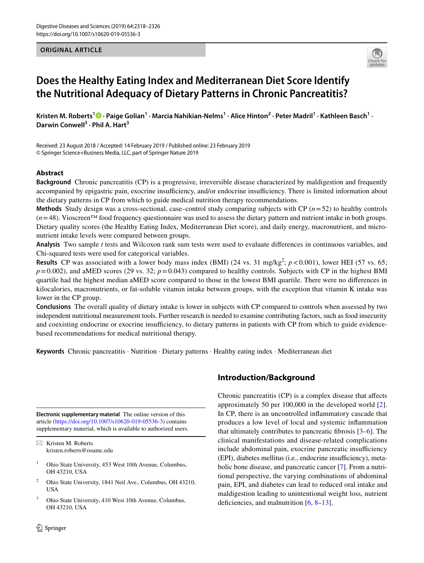**ORIGINAL ARTICLE**



# **Does the Healthy Eating Index and Mediterranean Diet Score Identify the Nutritional Adequacy of Dietary Patterns in Chronic Pancreatitis?**

Kristen M. Roberts<sup>1</sup> <sup>®</sup> [·](http://orcid.org/0000-0001-5619-990X) Paige Golian<sup>1</sup> · Marcia Nahikian-Nelms<sup>1</sup> · Alice Hinton<sup>2</sup> · Peter Madril<sup>1</sup> · Kathleen Basch<sup>1</sup> · Darwin Conwell<sup>3</sup> · Phil A. Hart<sup>3</sup>

Received: 23 August 2018 / Accepted: 14 February 2019 / Published online: 23 February 2019 © Springer Science+Business Media, LLC, part of Springer Nature 2019

## **Abstract**

**Background** Chronic pancreatitis (CP) is a progressive, irreversible disease characterized by maldigestion and frequently accompanied by epigastric pain, exocrine insufficiency, and/or endocrine insufficiency. There is limited information about the dietary patterns in CP from which to guide medical nutrition therapy recommendations.

**Methods** Study design was a cross-sectional, case–control study comparing subjects with CP (*n*=52) to healthy controls  $(n=48)$ . Vioscreen<sup>TM</sup> food frequency questionnaire was used to assess the dietary pattern and nutrient intake in both groups. Dietary quality scores (the Healthy Eating Index, Mediterranean Diet score), and daily energy, macronutrient, and micronutrient intake levels were compared between groups.

**Analysis** Two sample *t* tests and Wilcoxon rank sum tests were used to evaluate diferences in continuous variables, and Chi-squared tests were used for categorical variables.

**Results** CP was associated with a lower body mass index (BMI) (24 vs. 31 mg/kg<sup>2</sup>;  $p < 0.001$ ), lower HEI (57 vs. 65;  $p=0.002$ ), and aMED scores (29 vs. 32;  $p=0.043$ ) compared to healthy controls. Subjects with CP in the highest BMI quartile had the highest median aMED score compared to those in the lowest BMI quartile. There were no diferences in kilocalories, macronutrients, or fat-soluble vitamin intake between groups, with the exception that vitamin K intake was lower in the CP group.

**Conclusions** The overall quality of dietary intake is lower in subjects with CP compared to controls when assessed by two independent nutritional measurement tools. Further research is needed to examine contributing factors, such as food insecurity and coexisting endocrine or exocrine insufficiency, to dietary patterns in patients with CP from which to guide evidencebased recommendations for medical nutritional therapy.

**Keywords** Chronic pancreatitis · Nutrition · Dietary patterns · Healthy eating index · Mediterranean diet

**Electronic supplementary material** The online version of this article [\(https://doi.org/10.1007/s10620-019-05536-3\)](https://doi.org/10.1007/s10620-019-05536-3) contains supplementary material, which is available to authorized users.

 $\boxtimes$  Kristen M. Roberts kristen.roberts@osumc.edu

- <sup>1</sup> Ohio State University, 453 West 10th Avenue, Columbus, OH 43210, USA
- <sup>2</sup> Ohio State University, 1841 Neil Ave., Columbus, OH 43210, USA
- <sup>3</sup> Ohio State University, 410 West 10th Avenue, Columbus, OH 43210, USA

# **Introduction/Background**

Chronic pancreatitis (CP) is a complex disease that afects approximately 50 per 100,000 in the developed world [[2](#page-7-0)]. In CP, there is an uncontrolled infammatory cascade that produces a low level of local and systemic infammation that ultimately contributes to pancreatic fibrosis  $[3-6]$  $[3-6]$  $[3-6]$ . The clinical manifestations and disease-related complications include abdominal pain, exocrine pancreatic insufficiency (EPI), diabetes mellitus (i.e., endocrine insufficiency), metabolic bone disease, and pancreatic cancer [\[7\]](#page-7-3). From a nutritional perspective, the varying combinations of abdominal pain, EPI, and diabetes can lead to reduced oral intake and maldigestion leading to unintentional weight loss, nutrient defciencies, and malnutrition [[6](#page-7-2), [8](#page-7-4)[–13](#page-7-5)].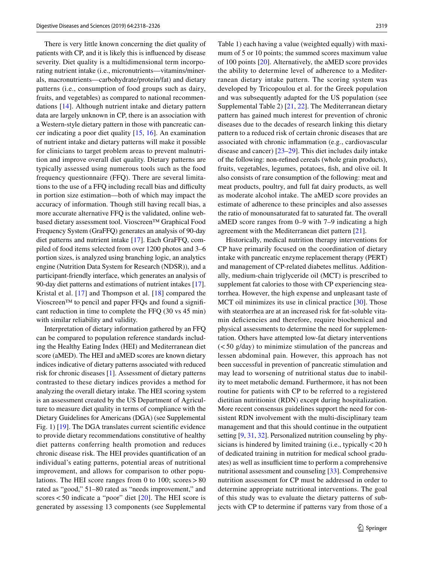There is very little known concerning the diet quality of patients with CP, and it is likely this is infuenced by disease severity. Diet quality is a multidimensional term incorporating nutrient intake (i.e., micronutrients—vitamins/minerals, macronutrients—carbohydrate/protein/fat) and dietary patterns (i.e., consumption of food groups such as dairy, fruits, and vegetables) as compared to national recommendations [[14](#page-7-6)]. Although nutrient intake and dietary pattern data are largely unknown in CP, there is an association with a Western-style dietary pattern in those with pancreatic cancer indicating a poor diet quality [\[15](#page-7-7), [16\]](#page-7-8). An examination of nutrient intake and dietary patterns will make it possible for clinicians to target problem areas to prevent malnutrition and improve overall diet quality. Dietary patterns are typically assessed using numerous tools such as the food frequency questionnaire (FFQ). There are several limitations to the use of a FFQ including recall bias and difficulty in portion size estimation—both of which may impact the accuracy of information. Though still having recall bias, a more accurate alternative FFQ is the validated, online webbased dietary assessment tool. Vioscreen™ Graphical Food Frequency System (GraFFQ) generates an analysis of 90-day diet patterns and nutrient intake [\[17\]](#page-7-9). Each GraFFQ, compiled of food items selected from over 1200 photos and 3–6 portion sizes, is analyzed using branching logic, an analytics engine (Nutrition Data System for Research (NDSR)), and a participant-friendly interface, which generates an analysis of 90-day diet patterns and estimations of nutrient intakes [\[17](#page-7-9)]. Kristal et al. [[17](#page-7-9)] and Thompson et al. [[18\]](#page-7-10) compared the Vioscreen™ to pencil and paper FFQs and found a signifcant reduction in time to complete the FFQ (30 vs 45 min) with similar reliability and validity.

Interpretation of dietary information gathered by an FFQ can be compared to population reference standards including the Healthy Eating Index (HEI) and Mediterranean diet score (aMED). The HEI and aMED scores are known dietary indices indicative of dietary patterns associated with reduced risk for chronic diseases [\[1](#page-7-11)]. Assessment of dietary patterns contrasted to these dietary indices provides a method for analyzing the overall dietary intake. The HEI scoring system is an assessment created by the US Department of Agriculture to measure diet quality in terms of compliance with the Dietary Guidelines for Americans (DGA) (see Supplemental Fig. 1) [\[19](#page-7-12)]. The DGA translates current scientifc evidence to provide dietary recommendations constitutive of healthy diet patterns conferring health promotion and reduces chronic disease risk. The HEI provides quantifcation of an individual's eating patterns, potential areas of nutritional improvement, and allows for comparison to other populations. The HEI score ranges from 0 to 100; scores  $>80$ rated as "good," 51–80 rated as "needs improvement," and scores  $<$  50 indicate a "poor" diet [[20](#page-7-13)]. The HEI score is generated by assessing 13 components (see Supplemental Table 1) each having a value (weighted equally) with maximum of 5 or 10 points; the summed scores maximum value of 100 points [\[20](#page-7-13)]. Alternatively, the aMED score provides the ability to determine level of adherence to a Mediterranean dietary intake pattern. The scoring system was developed by Tricopoulou et al. for the Greek population and was subsequently adapted for the US population (see Supplemental Table 2) [\[21](#page-7-14), [22](#page-7-15)]. The Mediterranean dietary pattern has gained much interest for prevention of chronic diseases due to the decades of research linking this dietary pattern to a reduced risk of certain chronic diseases that are associated with chronic infammation (e.g., cardiovascular disease and cancer) [[23](#page-7-16)[–29](#page-7-17)]. This diet includes daily intake of the following: non-refned cereals (whole grain products), fruits, vegetables, legumes, potatoes, fsh, and olive oil. It also consists of rare consumption of the following: meat and meat products, poultry, and full fat dairy products, as well as moderate alcohol intake. The aMED score provides an estimate of adherence to these principles and also assesses the ratio of monounsaturated fat to saturated fat. The overall aMED score ranges from 0–9 with 7–9 indicating a high agreement with the Mediterranean diet pattern [\[21](#page-7-14)].

Historically, medical nutrition therapy interventions for CP have primarily focused on the coordination of dietary intake with pancreatic enzyme replacement therapy (PERT) and management of CP-related diabetes mellitus. Additionally, medium-chain triglyceride oil (MCT) is prescribed to supplement fat calories to those with CP experiencing steatorrhea. However, the high expense and unpleasant taste of MCT oil minimizes its use in clinical practice [[30\]](#page-7-18). Those with steatorrhea are at an increased risk for fat-soluble vitamin defciencies and therefore, require biochemical and physical assessments to determine the need for supplementation. Others have attempted low-fat dietary interventions  $(<50$  g/day) to minimize stimulation of the pancreas and lessen abdominal pain. However, this approach has not been successful in prevention of pancreatic stimulation and may lead to worsening of nutritional status due to inability to meet metabolic demand. Furthermore, it has not been routine for patients with CP to be referred to a registered dietitian nutritionist (RDN) except during hospitalization. More recent consensus guidelines support the need for consistent RDN involvement with the multi-disciplinary team management and that this should continue in the outpatient setting [[9,](#page-7-19) [31,](#page-7-20) [32](#page-7-21)]. Personalized nutrition counseling by physicians is hindered by limited training (i.e., typically <20 h of dedicated training in nutrition for medical school graduates) as well as insufficient time to perform a comprehensive nutritional assessment and counseling [\[33](#page-7-22)]. Comprehensive nutrition assessment for CP must be addressed in order to determine appropriate nutritional interventions. The goal of this study was to evaluate the dietary patterns of subjects with CP to determine if patterns vary from those of a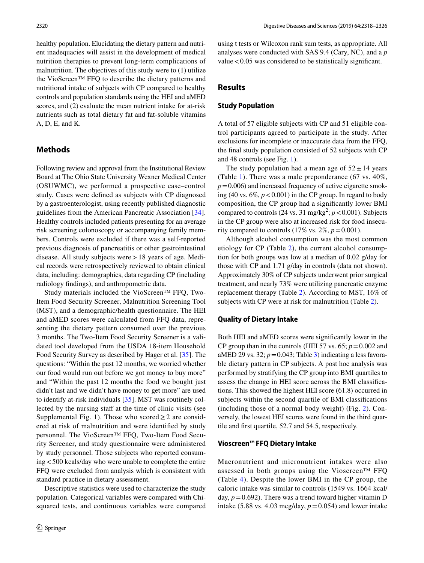healthy population. Elucidating the dietary pattern and nutrient inadequacies will assist in the development of medical nutrition therapies to prevent long-term complications of malnutrition. The objectives of this study were to (1) utilize the VioScreen™ FFQ to describe the dietary patterns and nutritional intake of subjects with CP compared to healthy controls and population standards using the HEI and aMED scores, and (2) evaluate the mean nutrient intake for at-risk nutrients such as total dietary fat and fat-soluble vitamins A, D, E, and K.

## **Methods**

Following review and approval from the Institutional Review Board at The Ohio State University Wexner Medical Center (OSUWMC), we performed a prospective case–control study. Cases were defned as subjects with CP diagnosed by a gastroenterologist, using recently published diagnostic guidelines from the American Pancreatic Association [\[34](#page-7-23)]. Healthy controls included patients presenting for an average risk screening colonoscopy or accompanying family members. Controls were excluded if there was a self-reported previous diagnosis of pancreatitis or other gastrointestinal disease. All study subjects were  $>18$  years of age. Medical records were retrospectively reviewed to obtain clinical data, including: demographics, data regarding CP (including radiology fndings), and anthropometric data.

Study materials included the VioScreen™ FFQ, Two-Item Food Security Screener, Malnutrition Screening Tool (MST), and a demographic/health questionnaire. The HEI and aMED scores were calculated from FFQ data, representing the dietary pattern consumed over the previous 3 months. The Two-Item Food Security Screener is a validated tool developed from the USDA 18-item Household Food Security Survey as described by Hager et al. [\[35](#page-7-24)]. The questions: "Within the past 12 months, we worried whether our food would run out before we got money to buy more" and "Within the past 12 months the food we bought just didn't last and we didn't have money to get more" are used to identify at-risk individuals [[35](#page-7-24)]. MST was routinely collected by the nursing staff at the time of clinic visits (see Supplemental Fig. 1). Those who scored  $\geq 2$  are considered at risk of malnutrition and were identifed by study personnel. The VioScreen™ FFQ, Two-Item Food Security Screener, and study questionnaire were administered by study personnel. Those subjects who reported consuming<500 kcals/day who were unable to complete the entire FFQ were excluded from analysis which is consistent with standard practice in dietary assessment.

Descriptive statistics were used to characterize the study population. Categorical variables were compared with Chisquared tests, and continuous variables were compared using t tests or Wilcoxon rank sum tests, as appropriate. All analyses were conducted with SAS 9.4 (Cary, NC), and a *p* value  $< 0.05$  was considered to be statistically significant.

## **Results**

#### **Study Population**

A total of 57 eligible subjects with CP and 51 eligible control participants agreed to participate in the study. After exclusions for incomplete or inaccurate data from the FFQ, the fnal study population consisted of 52 subjects with CP and 48 controls (see Fig. [1\)](#page-3-0).

The study population had a mean age of  $52 \pm 14$  years (Table [1](#page-3-1)). There was a male preponderance (67 vs. 40%,  $p=0.006$ ) and increased frequency of active cigarette smoking (40 vs.  $6\%, p < 0.001$ ) in the CP group. In regard to body composition, the CP group had a signifcantly lower BMI compared to controls  $(24 \text{ vs. } 31 \text{ mg/kg}^2; p < 0.001)$ . Subjects in the CP group were also at increased risk for food insecurity compared to controls  $(17\% \text{ vs. } 2\%, p=0.001)$ .

Although alcohol consumption was the most common etiology for CP (Table [2](#page-4-0)), the current alcohol consumption for both groups was low at a median of 0.02 g/day for those with CP and 1.71 g/day in controls (data not shown). Approximately 30% of CP subjects underwent prior surgical treatment, and nearly 73% were utilizing pancreatic enzyme replacement therapy (Table [2](#page-4-0)). According to MST, 16% of subjects with CP were at risk for malnutrition (Table [2\)](#page-4-0).

#### **Quality of Dietary Intake**

Both HEI and aMED scores were signifcantly lower in the CP group than in the controls (HEI 57 vs.  $65$ ;  $p = 0.002$  and aMED 29 vs. 32;  $p = 0.043$ ; Table [3\)](#page-4-1) indicating a less favorable dietary pattern in CP subjects. A post hoc analysis was performed by stratifying the CP group into BMI quartiles to assess the change in HEI score across the BMI classifcations. This showed the highest HEI score (61.8) occurred in subjects within the second quartile of BMI classifcations (including those of a normal body weight) (Fig. [2\)](#page-5-0). Conversely, the lowest HEI scores were found in the third quartile and frst quartile, 52.7 and 54.5, respectively.

### **Vioscreen™ FFQ Dietary Intake**

Macronutrient and micronutrient intakes were also assessed in both groups using the Vioscreen™ FFQ (Table [4](#page-6-0)). Despite the lower BMI in the CP group, the caloric intake was similar to controls (1549 vs. 1664 kcal/ day,  $p = 0.692$ ). There was a trend toward higher vitamin D intake (5.88 vs. 4.03 mcg/day,  $p = 0.054$ ) and lower intake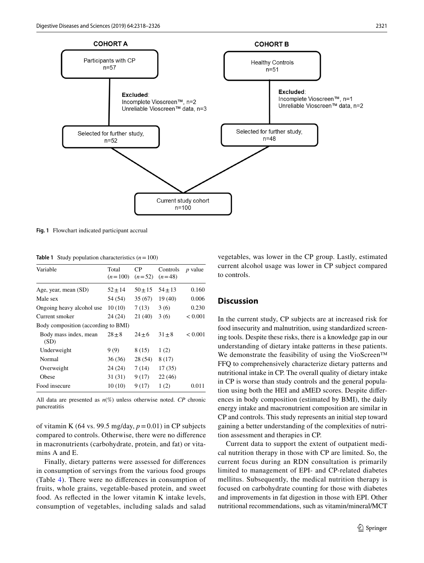

 $n = 100$ 

<span id="page-3-0"></span>**Fig. 1** Flowchart indicated participant accrual

<span id="page-3-1"></span>**Table 1** Study population characteristics  $(n = 100)$ 

| Variable                            | Total<br>$(n=100)$ | CP.<br>$(n=52)$ | Controls<br>$(n=48)$ | <i>p</i> value |  |
|-------------------------------------|--------------------|-----------------|----------------------|----------------|--|
| Age, year, mean (SD)                | $52 \pm 14$        | $50 \pm 15$     | $54 \pm 13$          | 0.160          |  |
| Male sex                            | 54 (54)            | 35(67)          | 19(40)               | 0.006          |  |
| Ongoing heavy alcohol use           | 10(10)             | 7(13)           | 3(6)                 | 0.230          |  |
| Current smoker                      | 24 (24)            | 21 (40)         | 3(6)                 | < 0.001        |  |
| Body composition (according to BMI) |                    |                 |                      |                |  |
| Body mass index, mean<br>(SD)       | $28 + 8$           | $24 + 6$        | $31 + 8$             | ${}_{< 0.001}$ |  |
| Underweight                         | 9(9)               | 8(15)           | 1(2)                 |                |  |
| Normal                              | 36(36)             | 28 (54)         | 8 (17)               |                |  |
| Overweight                          | 24 (24)            | 7(14)           | 17(35)               |                |  |
| Obese                               | 31(31)             | 9(17)           | 22(46)               |                |  |
| Food insecure                       | 10(10)             | 9(17)           | 1(2)                 | 0.011          |  |

All data are presented as *n*(%) unless otherwise noted. *CP* chronic pancreatitis

of vitamin K (64 vs. 99.5 mg/day,  $p = 0.01$ ) in CP subjects compared to controls. Otherwise, there were no diference in macronutrients (carbohydrate, protein, and fat) or vitamins A and E.

Finally, dietary patterns were assessed for diferences in consumption of servings from the various food groups (Table [4\)](#page-6-0). There were no diferences in consumption of fruits, whole grains, vegetable-based protein, and sweet food. As refected in the lower vitamin K intake levels, consumption of vegetables, including salads and salad vegetables, was lower in the CP group. Lastly, estimated current alcohol usage was lower in CP subject compared to controls.

## **Discussion**

In the current study, CP subjects are at increased risk for food insecurity and malnutrition, using standardized screening tools. Despite these risks, there is a knowledge gap in our understanding of dietary intake patterns in these patients. We demonstrate the feasibility of using the VioScreen™ FFQ to comprehensively characterize dietary patterns and nutritional intake in CP. The overall quality of dietary intake in CP is worse than study controls and the general population using both the HEI and aMED scores. Despite diferences in body composition (estimated by BMI), the daily energy intake and macronutrient composition are similar in CP and controls. This study represents an initial step toward gaining a better understanding of the complexities of nutrition assessment and therapies in CP.

Current data to support the extent of outpatient medical nutrition therapy in those with CP are limited. So, the current focus during an RDN consultation is primarily limited to management of EPI- and CP-related diabetes mellitus. Subsequently, the medical nutrition therapy is focused on carbohydrate counting for those with diabetes and improvements in fat digestion in those with EPI. Other nutritional recommendations, such as vitamin/mineral/MCT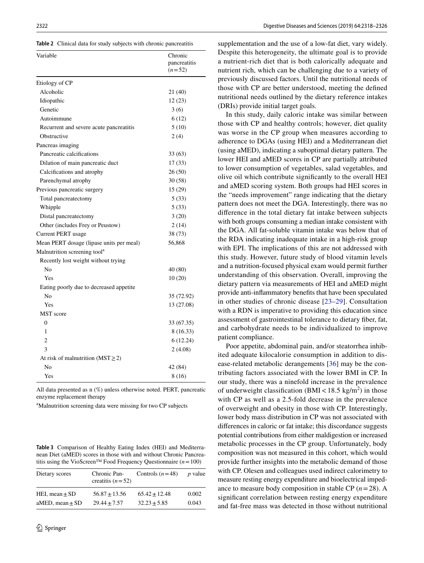<span id="page-4-0"></span>**Table 2** Clinical data for study subjects with chronic pancreatitis

| Variable                                 | Chronic<br>pancreatitis<br>$(n=52)$ |
|------------------------------------------|-------------------------------------|
| Etiology of CP                           |                                     |
| Alcoholic                                | 21 (40)                             |
| Idiopathic                               | 12(23)                              |
| Genetic                                  | 3(6)                                |
| Autoimmune                               | 6 (12)                              |
| Recurrent and severe acute pancreatitis  | 5(10)                               |
| Obstructive                              | 2(4)                                |
| Pancreas imaging                         |                                     |
| Pancreatic calcifications                | 33 (63)                             |
| Dilation of main pancreatic duct         | 17(33)                              |
| Calcifications and atrophy               | 26(50)                              |
| Parenchymal atrophy                      | 30(58)                              |
| Previous pancreatic surgery              | 15 (29)                             |
| Total pancreatectomy                     | 5(33)                               |
| Whipple                                  | 5(33)                               |
| Distal pancreatectomy                    | 3(20)                               |
| Other (includes Frey or Peustow)         | 2(14)                               |
| Current PERT usage                       | 38 (73)                             |
| Mean PERT dosage (lipase units per meal) | 56,868                              |
| Malnutrition screening tool <sup>a</sup> |                                     |
| Recently lost weight without trying      |                                     |
| N <sub>0</sub>                           | 40 (80)                             |
| Yes                                      | 10(20)                              |
| Eating poorly due to decreased appetite  |                                     |
| N <sub>0</sub>                           | 35 (72.92)                          |
| Yes                                      | 13 (27.08)                          |
| <b>MST</b> score                         |                                     |
| $\theta$                                 | 33 (67.35)                          |
| 1                                        | 8 (16.33)                           |
| 2                                        | 6 (12.24)                           |
| 3                                        | 2(4.08)                             |
| At risk of malnutrition ( $MST \ge 2$ )  |                                     |
| No                                       | 42 (84)                             |
| Yes                                      | 8 (16)                              |

All data presented as n (%) unless otherwise noted. PERT, pancreatic enzyme replacement therapy

<sup>a</sup>Malnutrition screening data were missing for two CP subjects

<span id="page-4-1"></span>**Table 3** Comparison of Healthy Eating Index (HEI) and Mediterranean Diet (aMED) scores in those with and without Chronic Pancreatitis using the VioScreen™ Food Frequency Questionnaire (*n*=100)

| Dietary scores      | Chronic Pan-<br>creatitis $(n=52)$ | Controls $(n=48)$ | <i>p</i> value |
|---------------------|------------------------------------|-------------------|----------------|
| HEI, mean $\pm$ SD  | $56.87 + 13.56$                    | $65.42 + 12.48$   | 0.002          |
| aMED, mean $\pm$ SD | $29.44 + 7.57$                     | $32.23 + 5.85$    | 0.043          |

supplementation and the use of a low-fat diet, vary widely. Despite this heterogeneity, the ultimate goal is to provide a nutrient-rich diet that is both calorically adequate and nutrient rich, which can be challenging due to a variety of previously discussed factors. Until the nutritional needs of those with CP are better understood, meeting the defned nutritional needs outlined by the dietary reference intakes (DRIs) provide initial target goals.

In this study, daily caloric intake was similar between those with CP and healthy controls; however, diet quality was worse in the CP group when measures according to adherence to DGAs (using HEI) and a Mediterranean diet (using aMED), indicating a suboptimal dietary pattern. The lower HEI and aMED scores in CP are partially attributed to lower consumption of vegetables, salad vegetables, and olive oil which contribute signifcantly to the overall HEI and aMED scoring system. Both groups had HEI scores in the "needs improvement" range indicating that the dietary pattern does not meet the DGA. Interestingly, there was no diference in the total dietary fat intake between subjects with both groups consuming a median intake consistent with the DGA. All fat-soluble vitamin intake was below that of the RDA indicating inadequate intake in a high-risk group with EPI. The implications of this are not addressed with this study. However, future study of blood vitamin levels and a nutrition-focused physical exam would permit further understanding of this observation. Overall, improving the dietary pattern via measurements of HEI and aMED might provide anti-infammatory benefts that have been speculated in other studies of chronic disease [[23](#page-7-16)–[29\]](#page-7-17). Consultation with a RDN is imperative to providing this education since assessment of gastrointestinal tolerance to dietary fber, fat, and carbohydrate needs to be individualized to improve patient compliance.

Poor appetite, abdominal pain, and/or steatorrhea inhibited adequate kilocalorie consumption in addition to disease-related metabolic derangements [\[36\]](#page-7-25) may be the contributing factors associated with the lower BMI in CP. In our study, there was a ninefold increase in the prevalence of underweight classification (BMI $<$ 18.5 kg/m<sup>2</sup>) in those with CP as well as a 2.5-fold decrease in the prevalence of overweight and obesity in those with CP. Interestingly, lower body mass distribution in CP was not associated with diferences in caloric or fat intake; this discordance suggests potential contributions from either maldigestion or increased metabolic processes in the CP group. Unfortunately, body composition was not measured in this cohort, which would provide further insights into the metabolic demand of those with CP. Olesen and colleagues used indirect calorimetry to measure resting energy expenditure and bioelectrical impedance to measure body composition in stable CP  $(n=28)$ . A signifcant correlation between resting energy expenditure and fat-free mass was detected in those without nutritional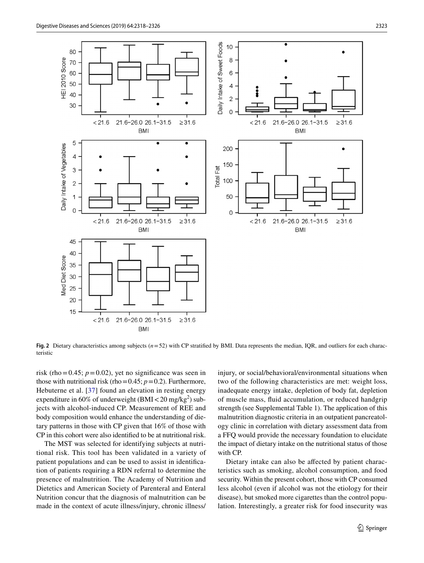

<span id="page-5-0"></span>**Fig. 2** Dietary characteristics among subjects (*n*=52) with CP stratifed by BMI. Data represents the median, IQR, and outliers for each characteristic

risk (rho=0.45;  $p=0.02$ ), yet no significance was seen in those with nutritional risk (rho=0.45;  $p=0.2$ ). Furthermore, Hebuterne et al. [[37\]](#page-7-26) found an elevation in resting energy expenditure in 60% of underweight  $(BMI < 20 \text{ mg/kg}^2)$  subjects with alcohol-induced CP. Measurement of REE and body composition would enhance the understanding of dietary patterns in those with CP given that 16% of those with CP in this cohort were also identifed to be at nutritional risk.

The MST was selected for identifying subjects at nutritional risk. This tool has been validated in a variety of patient populations and can be used to assist in identifcation of patients requiring a RDN referral to determine the presence of malnutrition. The Academy of Nutrition and Dietetics and American Society of Parenteral and Enteral Nutrition concur that the diagnosis of malnutrition can be made in the context of acute illness/injury, chronic illness/ injury, or social/behavioral/environmental situations when two of the following characteristics are met: weight loss, inadequate energy intake, depletion of body fat, depletion of muscle mass, fuid accumulation, or reduced handgrip strength (see Supplemental Table 1). The application of this malnutrition diagnostic criteria in an outpatient pancreatology clinic in correlation with dietary assessment data from a FFQ would provide the necessary foundation to elucidate the impact of dietary intake on the nutritional status of those with CP.

Dietary intake can also be afected by patient characteristics such as smoking, alcohol consumption, and food security. Within the present cohort, those with CP consumed less alcohol (even if alcohol was not the etiology for their disease), but smoked more cigarettes than the control population. Interestingly, a greater risk for food insecurity was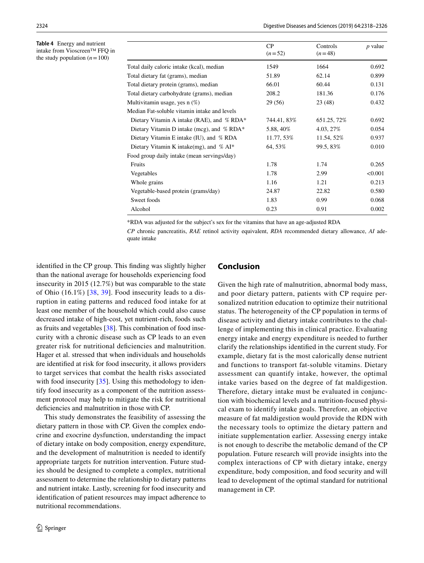<span id="page-6-0"></span>**Table 4** Energy and nutrient intake from Vioscreen™ FFQ in the study population  $(n=100)$ 

|                                              | CP<br>$(n=52)$ | Controls<br>$(n=48)$ | $p$ value |
|----------------------------------------------|----------------|----------------------|-----------|
| Total daily caloric intake (kcal), median    | 1549           | 1664                 | 0.692     |
| Total dietary fat (grams), median            | 51.89          | 62.14                | 0.899     |
| Total dietary protein (grams), median        | 66.01          | 60.44                | 0.131     |
| Total dietary carbohydrate (grams), median   | 208.2          | 181.36               | 0.176     |
| Multivitamin usage, yes $n$ (%)              | 29 (56)        | 23 (48)              | 0.432     |
| Median Fat-soluble vitamin intake and levels |                |                      |           |
| Dietary Vitamin A intake (RAE), and % RDA*   | 744.41, 83%    | 651.25, 72%          | 0.692     |
| Dietary Vitamin D intake (mcg), and % RDA*   | 5.88, 40\%     | 4.03, 27%            | 0.054     |
| Dietary Vitamin E intake (IU), and % RDA     | 11.77, 53%     | 11.54, 52%           | 0.937     |
| Dietary Vitamin K intake(mg), and $%$ AI*    | 64, 53%        | 99.5, 83%            | 0.010     |
| Food group daily intake (mean servings/day)  |                |                      |           |
| <b>Fruits</b>                                | 1.78           | 1.74                 | 0.265     |
| Vegetables                                   | 1.78           | 2.99                 | < 0.001   |
| Whole grains                                 | 1.16           | 1.21                 | 0.213     |
| Vegetable-based protein (grams/day)          | 24.87          | 22.82                | 0.580     |
| Sweet foods                                  | 1.83           | 0.99                 | 0.068     |
| Alcohol                                      | 0.23           | 0.91                 | 0.002     |

\*RDA was adjusted for the subject's sex for the vitamins that have an age-adjusted RDA

*CP* chronic pancreatitis, *RAE* retinol activity equivalent, *RDA* recommended dietary allowance, *AI* adequate intake

identifed in the CP group. This fnding was slightly higher than the national average for households experiencing food insecurity in 2015 (12.7%) but was comparable to the state of Ohio (16.1%) [[38](#page-8-0), [39](#page-8-1)]. Food insecurity leads to a disruption in eating patterns and reduced food intake for at least one member of the household which could also cause decreased intake of high-cost, yet nutrient-rich, foods such as fruits and vegetables [\[38](#page-8-0)]. This combination of food insecurity with a chronic disease such as CP leads to an even greater risk for nutritional defciencies and malnutrition. Hager et al. stressed that when individuals and households are identifed at risk for food insecurity, it allows providers to target services that combat the health risks associated with food insecurity  $[35]$  $[35]$ . Using this methodology to identify food insecurity as a component of the nutrition assessment protocol may help to mitigate the risk for nutritional defciencies and malnutrition in those with CP.

This study demonstrates the feasibility of assessing the dietary pattern in those with CP. Given the complex endocrine and exocrine dysfunction, understanding the impact of dietary intake on body composition, energy expenditure, and the development of malnutrition is needed to identify appropriate targets for nutrition intervention. Future studies should be designed to complete a complex, nutritional assessment to determine the relationship to dietary patterns and nutrient intake. Lastly, screening for food insecurity and identifcation of patient resources may impact adherence to nutritional recommendations.

## **Conclusion**

Given the high rate of malnutrition, abnormal body mass, and poor dietary pattern, patients with CP require personalized nutrition education to optimize their nutritional status. The heterogeneity of the CP population in terms of disease activity and dietary intake contributes to the challenge of implementing this in clinical practice. Evaluating energy intake and energy expenditure is needed to further clarify the relationships identifed in the current study. For example, dietary fat is the most calorically dense nutrient and functions to transport fat-soluble vitamins. Dietary assessment can quantify intake, however, the optimal intake varies based on the degree of fat maldigestion. Therefore, dietary intake must be evaluated in conjunction with biochemical levels and a nutrition-focused physical exam to identify intake goals. Therefore, an objective measure of fat maldigestion would provide the RDN with the necessary tools to optimize the dietary pattern and initiate supplementation earlier. Assessing energy intake is not enough to describe the metabolic demand of the CP population. Future research will provide insights into the complex interactions of CP with dietary intake, energy expenditure, body composition, and food security and will lead to development of the optimal standard for nutritional management in CP.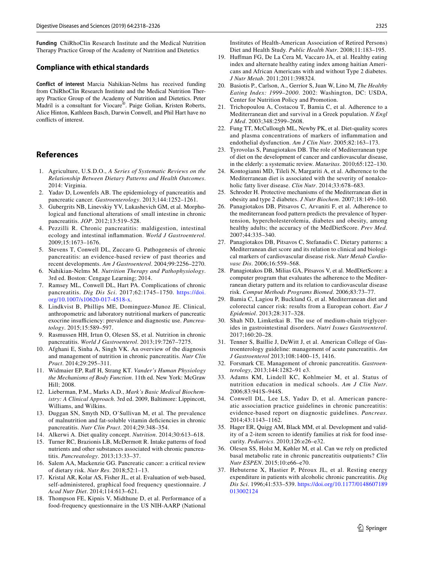**Funding** ChiRhoClin Research Institute and the Medical Nutrition Therapy Practice Group of the Academy of Nutrition and Dietetics

#### **Compliance with ethical standards**

**Conflict of interest** Marcia Nahikian-Nelms has received funding from ChiRhoClin Research Institute and the Medical Nutrition Therapy Practice Group of the Academy of Nutrition and Dietetics. Peter Madril is a consultant for Viocare®. Paige Golian, Kristen Roberts, Alice Hinton, Kathleen Basch, Darwin Conwell, and Phil Hart have no conficts of interest.

## **References**

- <span id="page-7-11"></span>1. Agriculture, U.S.D.O., *A Series of Systematic Reviews on the Relationship Between Dietary Patterns and Health Outcomes*. 2014: Virginia.
- <span id="page-7-0"></span>2. Yadav D, Lowenfels AB. The epidemiology of pancreatitis and pancreatic cancer. *Gastroenterology*. 2013;144:1252–1261.
- <span id="page-7-1"></span>3. Gubergrits NB, Linevskiy YV, Lukashevich GM, et al. Morphological and functional alterations of small intestine in chronic pancreatitis. *JOP*. 2012;13:519–528.
- 4. Pezzilli R. Chronic pancreatitis: maldigestion, intestinal ecology and intestinal infammation. *World J Gastroenterol*. 2009;15:1673–1676.
- 5. Stevens T, Conwell DL, Zuccaro G. Pathogenesis of chronic pancreatitis: an evidence-based review of past theories and recent developments. *Am J Gastroenterol*. 2004;99:2256–2270.
- <span id="page-7-2"></span>6. Nahikian-Nelms M. *Nutrition Therapy and Pathophysiology*. 3rd ed. Boston: Cengage Learning; 2014.
- <span id="page-7-3"></span>7. Ramsey ML, Conwell DL, Hart PA. Complications of chronic pancreatitis. *Dig Dis Sci*. 2017;62:1745–1750. [https://doi.](https://doi.org/10.1007/s10620-017-4518-x) [org/10.1007/s10620-017-4518-x](https://doi.org/10.1007/s10620-017-4518-x).
- <span id="page-7-4"></span>8. Lindkvist B, Phillips ME, Dominguez-Munoz JE. Clinical, anthropometric and laboratory nutritional markers of pancreatic exocrine insufficiency: prevalence and diagnostic use. *Pancreatology*. 2015;15:589–597.
- <span id="page-7-19"></span>9. Rasmussen HH, Irtun O, Olesen SS, et al. Nutrition in chronic pancreatitis. *World J Gastroenterol*. 2013;19:7267–7275.
- 10. Afghani E, Sinha A, Singh VK. An overview of the diagnosis and management of nutrition in chronic pancreatitis. *Nutr Clin Pract*. 2014;29:295–311.
- 11. Widmaier EP, Raf H, Strang KT. *Vander's Human Physiology the Mechanisms of Body Function*. 11th ed. New York: McGraw Hill; 2008.
- 12. Lieberman, P.M., Marks A.D., *Mark's Basic Medical Biochemistry: A Clinical Approach*. 3rd ed. 2009, Baltimore: Lippincott, Williams, and Wilkins.
- <span id="page-7-5"></span>13. Duggan SN, Smyth ND, O'Sullivan M, et al. The prevalence of malnutrition and fat-soluble vitamin defciencies in chronic pancreatitis. *Nutr Clin Pract*. 2014;29:348–354.
- <span id="page-7-6"></span>14. Alkerwi A. Diet quality concept. *Nutrition*. 2014;30:613–618.
- <span id="page-7-7"></span>15. Turner RC, Brazionis LB, McDermott R. Intake patterns of food nutrients and other substances associated with chronic pancreatitis. *Pancreatology*. 2013;13:33–37.
- <span id="page-7-8"></span>16. Salem AA, Mackenzie GG. Pancreatic cancer: a critical review of dietary risk. *Nutr Res*. 2018;52:1–13.
- <span id="page-7-9"></span>17. Kristal AR, Kolar AS, Fisher JL, et al. Evaluation of web-based, self-administered, graphical food frequency questionnaire. *J Acad Nutr Diet*. 2014;114:613–621.
- <span id="page-7-10"></span>18. Thompson FE, Kipnis V, Midthune D, et al. Performance of a food-frequency questionnaire in the US NIH-AARP (National

Institutes of Health-American Association of Retired Persons) Diet and Health Study. *Public Health Nutr*. 2008;11:183–195.

- <span id="page-7-12"></span>19. Hufman FG, De La Cera M, Vaccaro JA, et al. Healthy eating index and alternate healthy eating index among haitian Americans and African Americans with and without Type 2 diabetes. *J Nutr Metab*. 2011;2011:398324.
- <span id="page-7-13"></span>20. Basiotis P., Carlson, A., Gerrior S, Juan W, Lino M, *The Healthy Eating Index: 1999*–*2000*. 2002: Washington, DC: USDA, Center for Nutrition Policy and Promotion.
- <span id="page-7-14"></span>21. Trichopoulou A, Costacou T, Bamia C, et al. Adherence to a Mediterranean diet and survival in a Greek population. *N Engl J Med*. 2003;348:2599–2608.
- <span id="page-7-15"></span>22. Fung TT, McCullough ML, Newby PK, et al. Diet-quality scores and plasma concentrations of markers of infammation and endothelial dysfunction. *Am J Clin Nutr*. 2005;82:163–173.
- <span id="page-7-16"></span>23. Tyrovolas S, Panagiotakos DB. The role of Mediterranean type of diet on the development of cancer and cardiovascular disease, in the elderly: a systematic review. *Maturitas*. 2010;65:122–130.
- 24. Kontogianni MD, Tileli N, Margariti A, et al. Adherence to the Mediterranean diet is associated with the severity of nonalcoholic fatty liver disease. *Clin Nutr*. 2014;33:678–683.
- 25. Schroder H. Protective mechanisms of the Mediterranean diet in obesity and type 2 diabetes. *J Nutr Biochem*. 2007;18:149–160.
- 26. Panagiotakos DB, Pitsavos C, Arvaniti F, et al. Adherence to the mediterranean food pattern predicts the prevalence of hypertension, hypercholesterolemia, diabetes and obesity, among healthy adults; the accuracy of the MedDietScore. *Prev Med*. 2007;44:335–340.
- 27. Panagiotakos DB, Pitsavos C, Stefanadis C. Dietary patterns: a Mediterranean diet score and its relation to clinical and biological markers of cardiovascular disease risk. *Nutr Metab Cardiovasc Dis*. 2006;16:559–568.
- 28. Panagiotakos DB, Milias GA, Pitsavos V, et al. MedDietScore: a computer program that evaluates the adherence to the Mediterranean dietary pattern and its relation to cardiovascular disease risk. *Comput Methods Programs Biomed*. 2006;83:73–77.
- <span id="page-7-17"></span>29. Bamia C, Lagiou P, Buckland G, et al. Mediterranean diet and colorectal cancer risk: results from a European cohort. *Eur J Epidemiol*. 2013;28:317–328.
- <span id="page-7-18"></span>30. Shah ND, Limketkai B. The use of medium-chain triglycerides in gastrointestinal disorders. *Nutri Issues Gastroenterol*. 2017;160:20–28.
- <span id="page-7-20"></span>31. Tenner S, Baillie J, DeWitt J, et al. American College of Gastroenterology guideline: management of acute pancreatitis. *Am J Gastroenterol* 2013;108:1400–15, 1416.
- <span id="page-7-21"></span>32. Forsmark CE. Management of chronic pancreatitis. *Gastroenterology*, 2013;144:1282–91 e3.
- <span id="page-7-22"></span>33. Adams KM, Lindell KC, Kohlmeier M, et al. Status of nutrition education in medical schools. *Am J Clin Nutr*. 2006;83:941S–944S.
- <span id="page-7-23"></span>34. Conwell DL, Lee LS, Yadav D, et al. American pancreatic association practice guidelines in chronic pancreatitis: evidence-based report on diagnostic guidelines. *Pancreas*. 2014;43:1143–1162.
- <span id="page-7-24"></span>35. Hager ER, Quigg AM, Black MM, et al. Development and validity of a 2-item screen to identify families at risk for food insecurity. *Pediatrics*. 2010;126:e26–e32.
- <span id="page-7-25"></span>36. Olesen SS, Holst M, Køhler M, et al. Can we rely on predicted basal metabolic rate in chronic pancreatitis outpatients? *Clin Nutr ESPEN*. 2015;10:e66–e70.
- <span id="page-7-26"></span>37. Hebuterne X, Hastier P, Péroux JL, et al. Resting energy expenditure in patients with alcoholic chronic pancreatitis. *Dig Dis Sci*. 1996;41:533–539. [https://doi.org/10.1177/0148607189](https://doi.org/10.1177/0148607189013002124) [013002124](https://doi.org/10.1177/0148607189013002124)